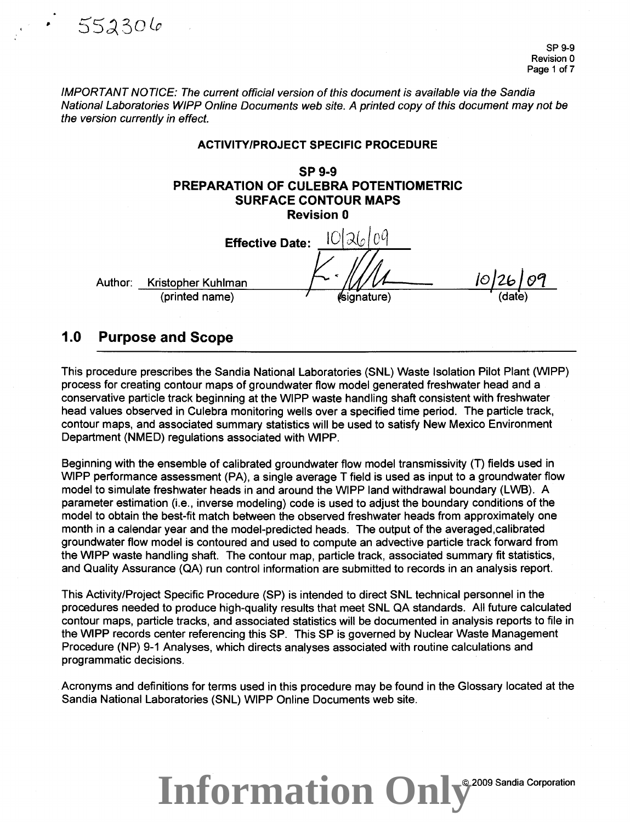IMPORTANT NOTICE: The current official version of this document is available via the Sandia National Laboratories WIPP Online Documents web site. A printed copy of this document may not be the version currently in effect.

#### ACTIVITY/PROJECT SPECIFIC PROCEDURE

SP9-9 PREPARATION OF CULEBRA POTENTIOMETRIC SURFACE CONTOUR MAPS Revision 0  $\mathbf{1}$   $\mathbf{2}$ 

|         | <b>Effective Date:</b> |             |        |                      |
|---------|------------------------|-------------|--------|----------------------|
| Author: | Kristopher Kuhlman     |             | io126. | $\rho^{\mathcal{C}}$ |
|         | (printed name)         | (signature) | (date) |                      |
|         |                        |             |        |                      |

### 1.0 Purpose and Scope

 $552306$ 

This procedure prescribes the Sandia National Laboratories (SNL) Waste Isolation Pilot Plant (WIPP) process for creating contour maps of groundwater flow model generated freshwater head and a conservative particle track beginning at the WIPP waste handling shaft consistent with freshwater head values observed in Culebra monitoring wells over a specified time period. The particle track, contour maps, and associated summary statistics will be used to satisfy New Mexico Environment Department (NMED) regulations associated with WIPP.

Beginning with the ensemble of calibrated groundwater flow model transmissivity (T) fields used in WIPP performance assessment (PA), a single average T field is used as input to a groundwater flow model to simulate freshwater heads in and around the WIPP land withdrawal boundary (LWB). A parameter estimation (i.e., inverse modeling) code is used to adjust the boundary conditions of the model to obtain the best-fit match between the observed freshwater heads from approximately one month in a calendar year and the model-predicted heads. The output of the averaged,calibrated groundwater flow model is contoured and used to compute an advective particle track forward from the WIPP waste handling shaft. The contour map, particle track, associated summary fit statistics, and Quality Assurance (QA) run control information are submitted to records in an analysis report.

This Activity/Project Specific Procedure (SP) is intended to direct SNL technical personnel in the procedures needed to produce high-quality results that meet SNL QA standards. All future calculated contour maps, particle tracks, and associated statistics will be documented in analysis reports to file in the WIPP records center referencing this SP. This SP is governed by Nuclear Waste Management Procedure (NP) 9-1 Analyses, which directs analyses associated with routine calculations and programmatic decisions.

Acronyms and definitions for terms used in this procedure may be found in the Glossary located at the Sandia National Laboratories (SNL) WIPP Online Documents web site.

### Information Only<sup>e 2009 Sandia Corporation</sup>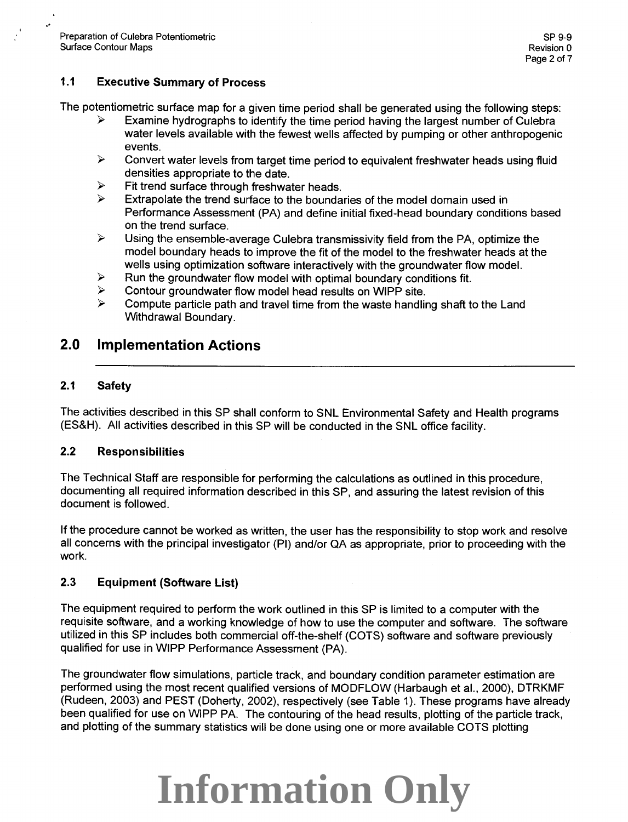..

#### **1.1 Executive Summary of Process**

The potentiometric surface map for a given time period shall be generated using the following steps:

- Examine hydrographs to identify the time period having the largest number of Culebra water levels available with the fewest wells affected by pumping or other anthropogenic events.
- $\triangleright$  Convert water levels from target time period to equivalent freshwater heads using fluid densities appropriate to the date.
- $\triangleright$  Fit trend surface through freshwater heads.<br> $\triangleright$  Fytrapolate the trend surface to the bounds
- Extrapolate the trend surface to the boundaries of the model domain used in Performance Assessment (PA) and define initial fixed-head boundary conditions based on the trend surface.
- $\triangleright$  Using the ensemble-average Culebra transmissivity field from the PA, optimize the model boundary heads to improve the fit of the model to the freshwater heads at the wells using optimization software interactively with the groundwater flow model.
- $\triangleright$  Run the groundwater flow model with optimal boundary conditions fit.<br>  $\triangleright$  Contour groundwater flow model head results on WIPP site
- $\geq$  Contour groundwater flow model head results on WIPP site.<br> $\geq$  Compute particle path and travel time from the waste handling
- <sup>~</sup>Compute particle path and travel time from the waste handling shaft to the Land Withdrawal Boundary.

### **2.0 Implementation Actions**

#### **2.1 Safety**

The activities described in this SP shall conform to SNL Environmental Safety and Health programs (ES&H). All activities described in this SP will be conducted in the SNL office facility.

#### 2.2 **Responsibilities**

The Technical Staff are responsible for performing the calculations as outlined in this procedure, documenting all required information described in this SP, and assuring the latest revision of this document is followed.

If the procedure cannot be worked as written, the user has the responsibility to stop work and resolve all concerns with the principal investigator (PI) and/or QA as appropriate, prior to proceeding with the work.

#### 2.3 **Equipment (Software List)**

The equipment required to perform the work outlined in this SP is limited to a computer with the requisite software, and a working knowledge of how to use the computer and software. The software utilized in this SP includes both commercial off-the-shelf (COTS) software and software previously qualified for use in WIPP Performance Assessment (PA).

The groundwater flow simulations, particle track, and boundary condition parameter estimation are performed using the most recent qualified versions of MODFLOW (Harbaugh et al., 2000), DTRKMF (Rudeen, 2003) and PEST (Doherty, 2002), respectively (see Table 1). These programs have already been qualified for use on WIPP PA. The contouring of the head results, plotting of the particle track, and plotting of the summary statistics will be done using one or more available COTS plotting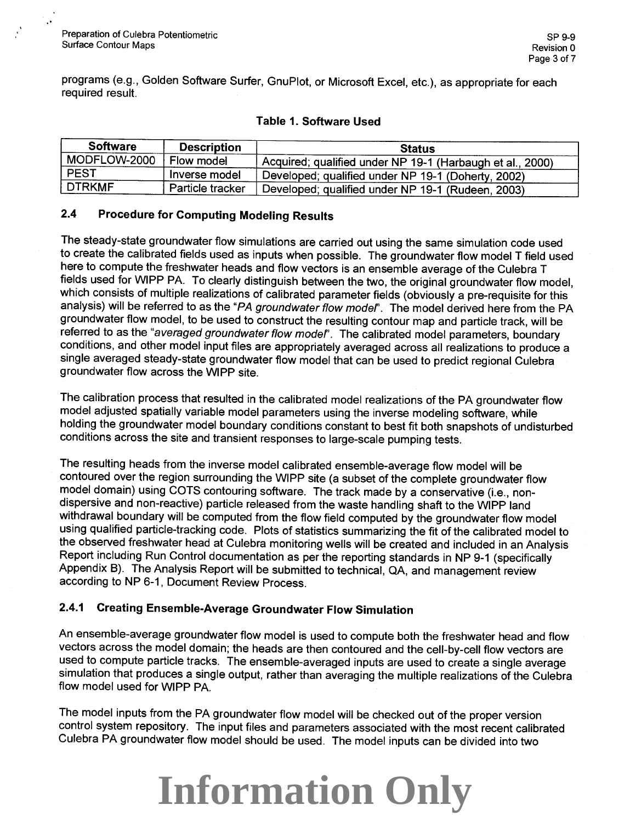•'

programs (e.g., Golden Software Surfer, GnuPiot, or Microsoft Excel, etc.), as appropriate for each required result.

#### Table 1. Software Used

| <b>Software</b> | <b>Description</b> | <b>Status</b>                                             |
|-----------------|--------------------|-----------------------------------------------------------|
| MODFLOW-2000    | Flow model         | Acquired; qualified under NP 19-1 (Harbaugh et al., 2000) |
| <b>PEST</b>     | Inverse model      | Developed; qualified under NP 19-1 (Doherty, 2002)        |
| <b>DTRKMF</b>   | Particle tracker   | Developed; qualified under NP 19-1 (Rudeen, 2003)         |

#### 2.4 Procedure for Computing Modeling Results

The steady-state groundwater flow simulations are carried out using the same simulation code used to create the calibrated fields used as inputs when possible. The groundwater flow model T field used here to compute the freshwater heads and flow vectors is an ensemble average of the Culebra T fields used for WIPP PA. To clearly distinguish between the two, the original groundwater flow model, which consists of multiple realizations of calibrated parameter fields (obviously a pre-requisite for this analysis) will be referred to as the "PA groundwater flow model". The model derived here from the PA groundwater flow model, to be used to construct the resulting contour map and particle track, will be referred to as the "averaged groundwater flow model". The calibrated model parameters, boundary conditions, and other model input files are appropriately averaged across all realizations to produce a single averaged steady-state groundwater flow model that can be used to predict regional Culebra groundwater flow across the WIPP site.

The calibration process that resulted in the calibrated model realizations of the PA groundwater flow model adjusted spatially variable model parameters using the inverse modeling software, while holding the groundwater model boundary conditions constant to best fit both snapshots of undisturbed conditions across the site and transient responses to large-scale pumping tests.

The resulting heads from the inverse model calibrated ensemble-average flow model will be contoured over the region surrounding the WIPP site (a subset of the complete groundwater flow model domain) using COTS contouring software. The track made by a conservative (i.e., nondispersive and non-reactive) particle released from the waste handling shaft to the WIPP land withdrawal boundary will be computed from the flow field computed by the groundwater flow model using qualified particle-tracking code. Plots of statistics summarizing the fit of the calibrated model to the observed freshwater head at Culebra monitoring wells will be created and included in an Analysis Report including Run Control documentation as per the reporting standards in NP 9-1 (specifically Appendix B). The Analysis Report will be submitted to technical, QA, and management review according to NP 6-1, Document Review Process.

#### 2.4.1 Creating Ensemble-Average Groundwater Flow Simulation

An ensemble-average groundwater flow model is used to compute both the freshwater head and flow vectors across the model domain; the heads are then contoured and the cell-by-cell flow vectors are used to compute particle tracks. The ensemble-averaged inputs are used to create a single average simulation that produces a single output, rather than averaging the multiple realizations of the Culebra flow model used for WIPP PA.

The model inputs from the PA groundwater flow model will be checked out of the proper version control system repository. The input files and parameters associated with the most recent calibrated Culebra PA groundwater flow model should be used. The model inputs can be divided into two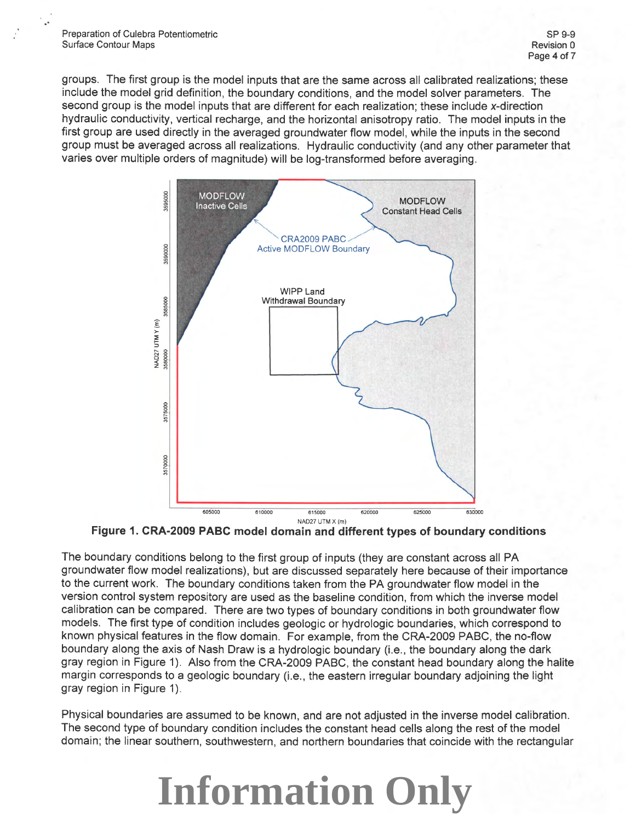..

groups. The first group is the model inputs that are the same across all calibrated realizations; these include the model grid definition, the boundary conditions, and the model solver parameters. The second group is the model inputs that are different for each realization; these include x-direction hydraulic conductivity, vertical recharge, and the horizontal anisotropy ratio. The model inputs in the first group are used directly in the averaged groundwater flow model, while the inputs in the second group must be averaged across all realizations. Hydraulic conductivity (and any other parameter that varies over multiple orders of magnitude) will be log-transformed before averaging.



**Figure 1. CRA-2009 PABC model domain and different types of boundary conditions** 

The boundary conditions belong to the first group of inputs (they are constant across all PA groundwater flow model realizations), but are discussed separately here because of their importance to the current work. The boundary conditions taken from the PA groundwater flow model in the version control system repository are used as the baseline condition, from which the inverse model calibration can be compared. There are two types of boundary conditions in both groundwater flow models. The first type of condition includes geologic or hydrologic boundaries, which correspond to known physical features in the flow domain. For example, from the CRA-2009 PABC, the no-flow boundary along the axis of Nash Draw is a hydrologic boundary (i.e., the boundary along the dark gray region in Figure 1). Also from the CRA-2009 PABC, the constant head boundary along the halite margin corresponds to a geologic boundary (i.e., the eastern irregular boundary adjoining the light gray region in Figure 1).

Physical boundaries are assumed to be known, and are not adjusted in the inverse model calibration. The second type of boundary condition includes the constant head cells along the rest of the model domain; the linear southern, southwestern, and northern boundaries that coincide with the rectangular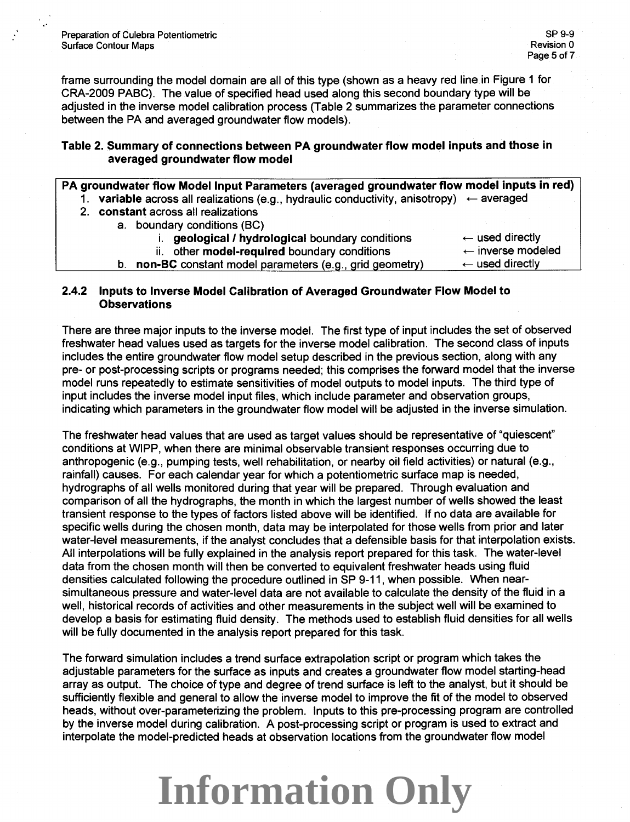frame surrounding the model domain are all of this type (shown as a heavy red line in Figure 1 for CRA-2009 PABC). The value of specified head used along this second boundary type will be adjusted in the inverse model calibration process (Table 2 summarizes the parameter connections between the PA and averaged groundwater flow models).

#### **Table 2. Summary of connections between PA groundwater flow model inputs and those in averaged groundwater flow model**

| PA groundwater flow Model Input Parameters (averaged groundwater flow model inputs in red) |  |  |
|--------------------------------------------------------------------------------------------|--|--|
|                                                                                            |  |  |

- 1. **variable** across all realizations (e.g., hydraulic conductivity, anisotropy)  $\leftarrow$  averaged
- 2. **constant** across all realizations
	- a. boundary conditions (BC)
		- i. **geological/ hydrological** boundary conditions ii. other **model-required** boundary conditions

 $\leftarrow$  used directly  $\leftarrow$  inverse modeled

**b. non-BC** constant model parameters (e.g., grid geometry)  $\leftarrow$  used directly

#### **2.4.2 Inputs to Inverse Model Calibration of Averaged Groundwater Flow Model to Observations**

There are three major inputs to the inverse model. The first type of input includes the set of observed freshwater head values used as targets for the inverse model calibration. The second class of inputs includes the entire groundwater flow model setup described in the previous section, along with any pre- or post-processing scripts or programs needed; this comprises the forward model that the inverse model runs repeatedly to estimate sensitivities of model outputs to model inputs. The third type of input includes the inverse model input files, which include parameter and observation groups, indicating which parameters in the groundwater flow model will be adjusted in the inverse simulation.

The freshwater head values that are used as target values should be representative of "quiescent" conditions at WIPP, when there are minimal observable transient responses occurring due to anthropogenic (e.g., pumping tests, well rehabilitation, or nearby oil field activities) or natural (e.g., rainfall) causes. For each calendar year for which a potentiometric surface map is needed, hydrographs of all wells monitored during that year will be prepared. Through evaluation and comparison of all the hydrographs, the month in which the largest number of wells showed the least transient response to the types of factors listed above will be identified. If no data are available for specific wells during the chosen month, data may be interpolated for those wells from prior and later water-level measurements, if the analyst concludes that a defensible basis for that interpolation exists. All interpolations will be fully explained in the analysis report prepared for this task. The water-level data from the chosen month will then be converted to equivalent freshwater heads using fluid densities calculated following the procedure outlined in SP 9-11, when possible. When nearsimultaneous pressure and water-level data are not available to calculate the density of the fluid in a well, historical records of activities and other measurements in the subject well will be examined to develop a basis for estimating fluid density. The methods used to establish fluid densities for all wells will be fully documented in the analysis report prepared for this task.

The forward simulation includes a trend surface extrapolation script or program which takes the adjustable parameters for the surface as inputs and creates a groundwater flow model starting-head array as output. The choice of type and degree of trend surface is left to the analyst, but it should be sufficiently flexible and general to allow the inverse model to improve the fit of the model to observed heads, without over-parameterizing the problem. Inputs to this pre-processing program are controlled by the inverse model during calibration. A post-processing script or program is used to extract and interpolate the model-predicted heads at observation locations from the groundwater flow model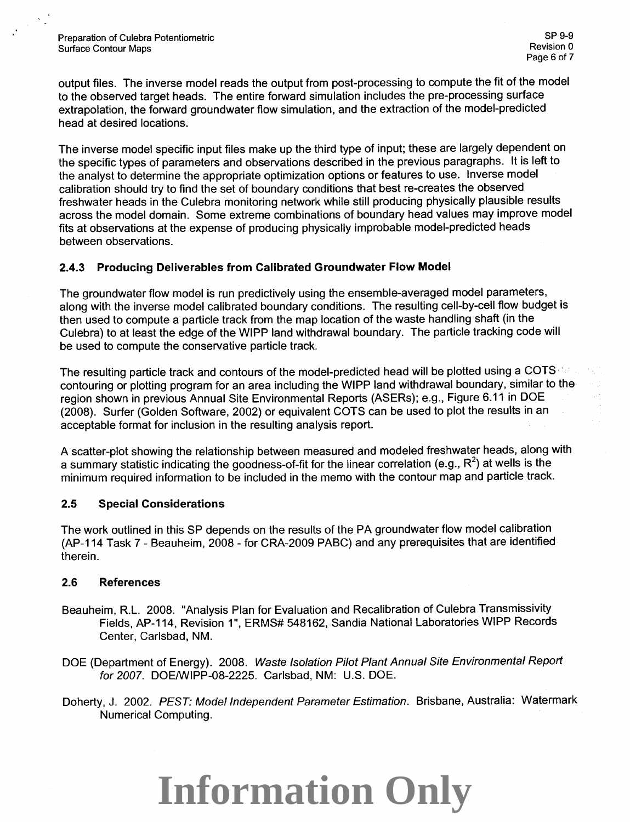output files. The inverse model reads the output from post-processing to compute the fit of the model to the observed target heads. The entire forward simulation includes the pre-processing surface extrapolation, the forward groundwater flow simulation, and the extraction of the model-predicted head at desired locations.

The inverse model specific input files make up the third type of input; these are largely dependent on the specific types of parameters and observations described in the previous paragraphs. It is left to the analyst to determine the appropriate optimization options or features to use. Inverse model calibration should try to find the set of boundary conditions that best re-creates the observed freshwater heads in the Culebra monitoring network while still producing physically plausible results across the model domain. Some extreme combinations of boundary head values may improve model fits at observations at the expense of producing physically improbable model-predicted heads between observations.

#### **2.4.3 Producing Deliverables from Calibrated Groundwater Flow Model**

The groundwater flow model is run predictively using the ensemble-averaged model parameters, along with the inverse model calibrated boundary conditions. The resulting cell-by-cell flow budget is then used to compute a particle track from the map location of the waste handling shaft (in the Culebra) to at least the edge of the WIPP land withdrawal boundary. The particle tracking code will be used to compute the conservative particle track.

The resulting particle track and contours of the model-predicted head will be plotted using a COTS contouring or plotting program for an area including the WIPP land withdrawal boundary, similar to the region shown in previous Annual Site Environmental Reports (ASERs); e.g., Figure 6.11 in DOE (2008). Surfer (Golden Software, 2002) or equivalent COTS can be used to plot the results in an acceptable format for inclusion in the resulting analysis report.

A scatter-plot showing the relationship between measured and modeled freshwater heads, along with a summary statistic indicating the goodness-of-fit for the linear correlation (e.g., R<sup>2</sup>) at wells is the minimum required information to be included in the memo with the contour map and particle track.

#### **2.5 Special Considerations**

The work outlined in this SP depends on the results of the PA groundwater flow model calibration (AP-114 Task 7- Beauheim, 2008- for CRA-2009 PABC) and any prerequisites that are identified therein.

#### **2.6 References**

- Beauheim, R.L. 2008. "Analysis Plan for Evaluation and Recalibration of Culebra Transmissivity Fields, AP-114, Revision 1", ERMS# 548162, Sandia National Laboratories WIPP Records Center, Carlsbad, NM.
- DOE (Department of Energy). 2008. Waste Isolation Pilot Plant Annual Site Environmental Report for 2007. DOE/WIPP-08-2225. Carlsbad, NM: U.S. DOE.
- Doherty, J. 2002. PEST: Model Independent Parameter Estimation. Brisbane, Australia: Watermark Numerical Computing.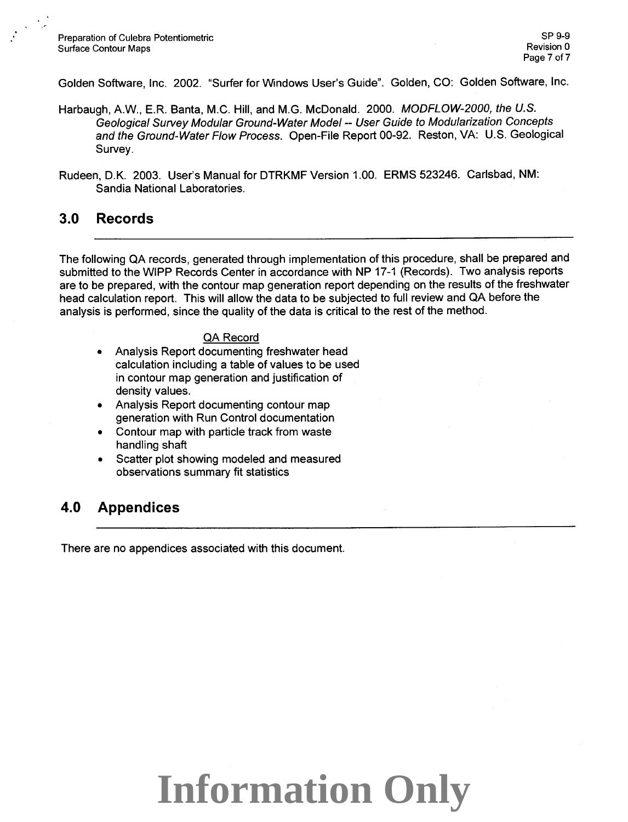Golden Software, Inc. 2002. "Surfer for Windows User's Guide". Golden, CO: Golden Software, Inc.

- Harbaugh, A.W., E.R. Banta, M.C. Hill, and M.G. McDonald. 2000. MODFLOW-2000, the U.S. Geological Survey Modular Ground-Water Model-- User Guide to Modularization Concepts and the Ground-Water Flow Process. Open-File Report 00-92. Reston, VA: U.S. Geological Survey.
- Rudeen, O.K. 2003. User's Manual for DTRKMF Version 1.00. ERMS 523246. Carlsbad, NM: Sandia National Laboratories.

### **3.0 Records**

The following QA records, generated through implementation of this procedure, shall be prepared and submitted to the WIPP Records Center in accordance with NP 17-1 (Records). Two analysis reports are to be prepared, with the contour map generation report depending on the results of the freshwater head calculation report. This will allow the data to be subjected to full review and QA before the analysis is performed, since the quality of the data is critical to the rest of the method.

#### QA Record

- Analysis Report documenting freshwater head calculation including a table of values to be used in contour map generation and justification of density values.
- Analysis Report documenting contour map generation with Run Control documentation
- Contour map with particle track from waste handling shaft
- Scatter plot showing modeled and measured observations summary fit statistics

### **4.0 Appendices**

There are no appendices associated with this document.